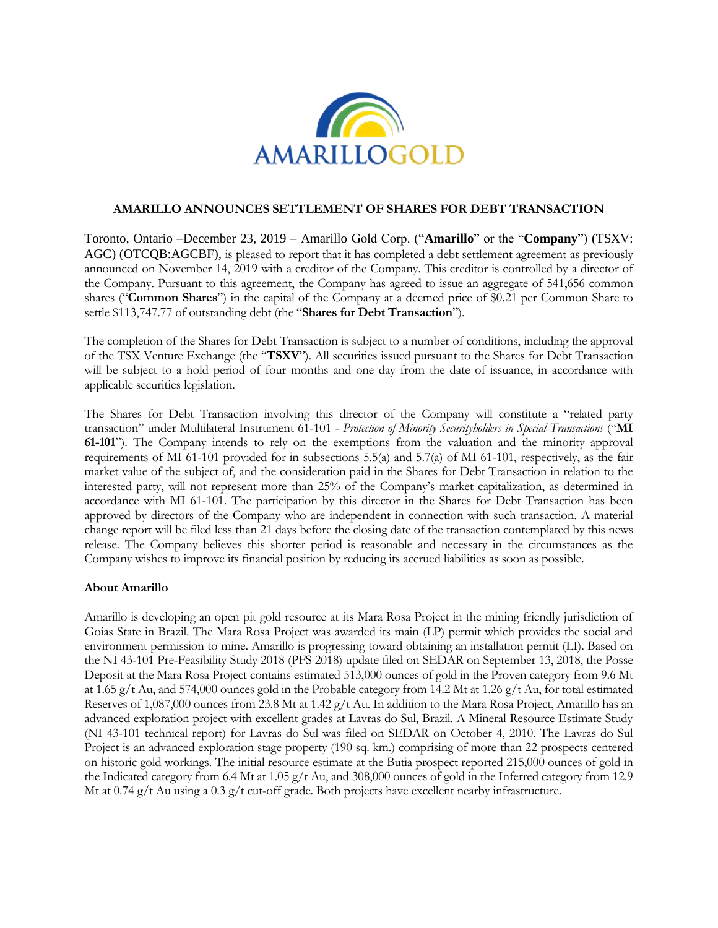

## **AMARILLO ANNOUNCES SETTLEMENT OF SHARES FOR DEBT TRANSACTION**

Toronto, Ontario –December 23, 2019 – Amarillo Gold Corp. ("**Amarillo**" or the "**Company**") (TSXV: AGC) (OTCQB:AGCBF), is pleased to report that it has completed a debt settlement agreement as previously announced on November 14, 2019 with a creditor of the Company. This creditor is controlled by a director of the Company. Pursuant to this agreement, the Company has agreed to issue an aggregate of 541,656 common shares ("**Common Shares**") in the capital of the Company at a deemed price of \$0.21 per Common Share to settle \$113,747.77 of outstanding debt (the "**Shares for Debt Transaction**").

The completion of the Shares for Debt Transaction is subject to a number of conditions, including the approval of the TSX Venture Exchange (the "**TSXV**"). All securities issued pursuant to the Shares for Debt Transaction will be subject to a hold period of four months and one day from the date of issuance, in accordance with applicable securities legislation.

The Shares for Debt Transaction involving this director of the Company will constitute a "related party transaction" under Multilateral Instrument 61-101 - *Protection of Minority Securityholders in Special Transactions* ("**MI 61-101**"). The Company intends to rely on the exemptions from the valuation and the minority approval requirements of MI 61-101 provided for in subsections 5.5(a) and 5.7(a) of MI 61-101, respectively, as the fair market value of the subject of, and the consideration paid in the Shares for Debt Transaction in relation to the interested party, will not represent more than 25% of the Company's market capitalization, as determined in accordance with MI 61-101. The participation by this director in the Shares for Debt Transaction has been approved by directors of the Company who are independent in connection with such transaction. A material change report will be filed less than 21 days before the closing date of the transaction contemplated by this news release. The Company believes this shorter period is reasonable and necessary in the circumstances as the Company wishes to improve its financial position by reducing its accrued liabilities as soon as possible.

## **About Amarillo**

Amarillo is developing an open pit gold resource at its Mara Rosa Project in the mining friendly jurisdiction of Goias State in Brazil. The Mara Rosa Project was awarded its main (LP) permit which provides the social and environment permission to mine. Amarillo is progressing toward obtaining an installation permit (LI). Based on the NI 43-101 Pre-Feasibility Study 2018 (PFS 2018) update filed on SEDAR on September 13, 2018, the Posse Deposit at the Mara Rosa Project contains estimated 513,000 ounces of gold in the Proven category from 9.6 Mt at 1.65 g/t Au, and 574,000 ounces gold in the Probable category from 14.2 Mt at 1.26 g/t Au, for total estimated Reserves of 1,087,000 ounces from 23.8 Mt at 1.42 g/t Au. In addition to the Mara Rosa Project, Amarillo has an advanced exploration project with excellent grades at Lavras do Sul, Brazil. A Mineral Resource Estimate Study (NI 43-101 technical report) for Lavras do Sul was filed on SEDAR on October 4, 2010. The Lavras do Sul Project is an advanced exploration stage property (190 sq. km.) comprising of more than 22 prospects centered on historic gold workings. The initial resource estimate at the Butia prospect reported 215,000 ounces of gold in the Indicated category from 6.4 Mt at 1.05 g/t Au, and 308,000 ounces of gold in the Inferred category from 12.9 Mt at  $0.74$  g/t Au using a  $0.3$  g/t cut-off grade. Both projects have excellent nearby infrastructure.